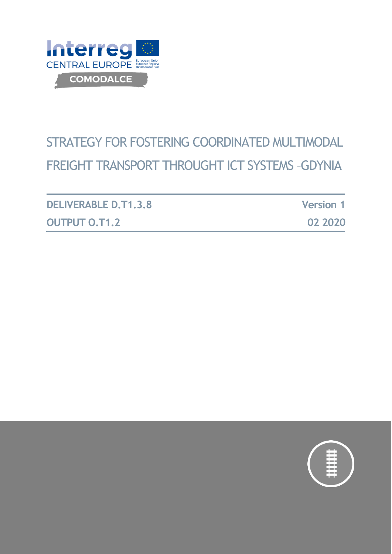

# STRATEGY FOR FOSTERING COORDINATED MULTIMODAL FREIGHT TRANSPORT THROUGHT ICT SYSTEMS –GDYNIA

| <b>DELIVERABLE D.T1.3.8</b> | <b>Version 1</b> |
|-----------------------------|------------------|
| <b>OUTPUT O.T1.2</b>        | 02 2020          |

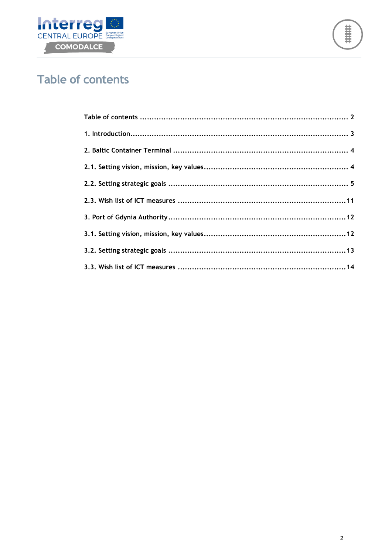



## <span id="page-1-0"></span>**Table of contents**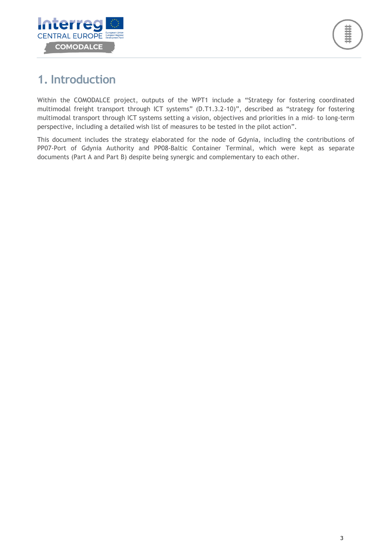

## <span id="page-2-0"></span>**1. Introduction**

Within the COMODALCE project, outputs of the WPT1 include a "Strategy for fostering coordinated multimodal freight transport through ICT systems" (D.T1.3.2-10)", described as "strategy for fostering multimodal transport through ICT systems setting a vision, objectives and priorities in a mid- to long-term perspective, including a detailed wish list of measures to be tested in the pilot action".

This document includes the strategy elaborated for the node of Gdynia, including the contributions of PP07-Port of Gdynia Authority and PP08-Baltic Container Terminal, which were kept as separate documents (Part A and Part B) despite being synergic and complementary to each other.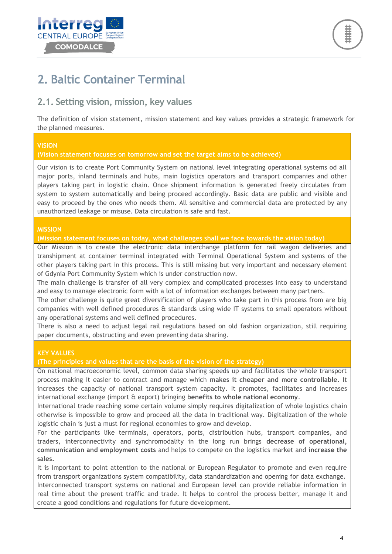



## <span id="page-3-0"></span>**2. Baltic Container Terminal**

#### <span id="page-3-1"></span>**2.1. Setting vision, mission, key values**

The definition of vision statement, mission statement and key values provides a strategic framework for the planned measures.

#### **VISION**

**(Vision statement focuses on tomorrow and set the target aims to be achieved)**

Our vision is to create Port Community System on national level integrating operational systems od all major ports, inland terminals and hubs, main logistics operators and transport companies and other players taking part in logistic chain. Once shipment information is generated freely circulates from system to system automatically and being proceed accordingly. Basic data are public and visible and easy to proceed by the ones who needs them. All sensitive and commercial data are protected by any unauthorized leakage or misuse. Data circulation is safe and fast.

#### **MISSION**

**(Mission statement focuses on today, what challenges shall we face towards the vision today)**

Our Mission is to create the electronic data interchange platform for rail wagon deliveries and transhipment at container terminal integrated with Terminal Operational System and systems of the other players taking part in this process. This is still missing but very important and necessary element of Gdynia Port Community System which is under construction now.

The main challenge is transfer of all very complex and complicated processes into easy to understand and easy to manage electronic form with a lot of information exchanges between many partners.

The other challenge is quite great diversification of players who take part in this process from are big companies with well defined procedures & standards using wide IT systems to small operators without any operational systems and well defined procedures.

There is also a need to adjust legal rail regulations based on old fashion organization, still requiring paper documents, obstructing and even preventing data sharing.

#### **KEY VALUES**

**(The principles and values that are the basis of the vision of the strategy)**

On national macroeconomic level, common data sharing speeds up and facilitates the whole transport process making it easier to contract and manage which **makes it cheaper and more controllable**. It increases the capacity of national transport system capacity. It promotes, facilitates and increases international exchange (import & export) bringing **benefits to whole national economy**.

International trade reaching some certain volume simply requires digitalization of whole logistics chain otherwise is impossible to grow and proceed all the data in traditional way. Digitalization of the whole logistic chain is just a must for regional economies to grow and develop.

For the participants like terminals, operators, ports, distribution hubs, transport companies, and traders, interconnectivity and synchromodality in the long run brings **decrease of operational, communication and employment costs** and helps to compete on the logistics market and **increase the sales.** 

It is important to point attention to the national or European Regulator to promote and even require from transport organizations system compatibility, data standardization and opening for data exchange. Interconnected transport systems on national and European level can provide reliable information in real time about the present traffic and trade. It helps to control the process better, manage it and create a good conditions and regulations for future development.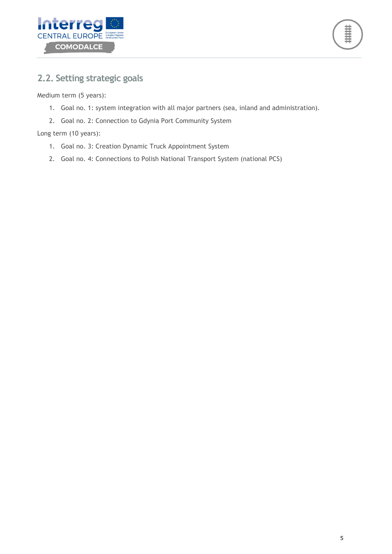



### <span id="page-4-0"></span>**2.2. Setting strategic goals**

Medium term (5 years):

- 1. Goal no. 1: system integration with all major partners (sea, inland and administration).
- 2. Goal no. 2: Connection to Gdynia Port Community System

Long term (10 years):

- 1. Goal no. 3: Creation Dynamic Truck Appointment System
- 2. Goal no. 4: Connections to Polish National Transport System (national PCS)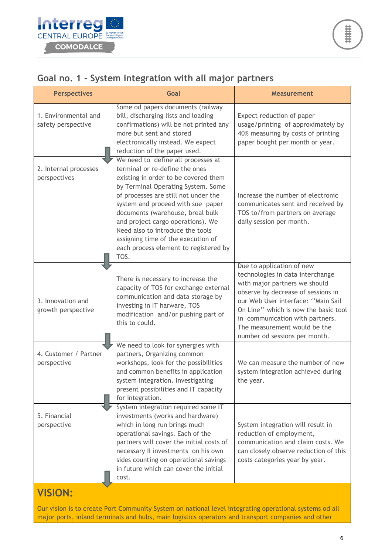

|  |  | Goal no. 1 - System integration with all major partners |  |  |
|--|--|---------------------------------------------------------|--|--|
|  |  |                                                         |  |  |

| <b>Perspectives</b>                        | Goal                                                                                                                                                                                                                                                                                                                                                                                                                                | <b>Measurement</b>                                                                                                                                                                                                                                                                                                     |
|--------------------------------------------|-------------------------------------------------------------------------------------------------------------------------------------------------------------------------------------------------------------------------------------------------------------------------------------------------------------------------------------------------------------------------------------------------------------------------------------|------------------------------------------------------------------------------------------------------------------------------------------------------------------------------------------------------------------------------------------------------------------------------------------------------------------------|
| 1. Environmental and<br>safety perspective | Some od papers documents (railway<br>bill, discharging lists and loading<br>confirmations) will be not printed any<br>more but sent and stored<br>electronically instead. We expect<br>reduction of the paper used.                                                                                                                                                                                                                 | Expect reduction of paper<br>usage/printing of approximately by<br>40% measuring by costs of printing<br>paper bought per month or year.                                                                                                                                                                               |
| 2. Internal processes<br>perspectives      | We need to define all processes at<br>terminal or re-define the ones<br>existing in order to be covered them<br>by Terminal Operating System. Some<br>of processes are still not under the<br>system and proceed with sue paper<br>documents (warehouse, breal bulk<br>and project cargo operations). We<br>Need also to introduce the tools<br>assigning time of the execution of<br>each process element to registered by<br>TOS. | Increase the number of electronic<br>communicates sent and received by<br>TOS to/from partners on average<br>daily session per month.                                                                                                                                                                                  |
| 3. Innovation and<br>growth perspective    | There is necessary to increase the<br>capacity of TOS for exchange external<br>communication and data storage by<br>investing in IT harware, TOS<br>modification and/or pushing part of<br>this to could.                                                                                                                                                                                                                           | Due to application of new<br>technologies in data interchange<br>with major partners we should<br>observe by decrease of sessions in<br>our Web User interface: "Main Sail<br>On Line" which is now the basic tool<br>in communication with partners.<br>The measurement would be the<br>number od sessions per month. |
| 4. Customer / Partner<br>perspective       | We need to look for synergies with<br>partners, Organizing common<br>workshops, look for the possibilities<br>and common benefits in application<br>system integration. Investigating<br>present possibilities and IT capacity<br>for integration.                                                                                                                                                                                  | We can measure the number of new<br>system integration achieved during<br>the year.                                                                                                                                                                                                                                    |
| 5. Financial<br>perspective                | System integration required some IT<br>investments (works and hardware)<br>which in long run brings much<br>operational savings. Each of the<br>partners will cover the initial costs of<br>necessary II investments on his own<br>sides counting on operational savings<br>in future which can cover the initial<br>cost.                                                                                                          | System integration will result in<br>reduction of employment,<br>communication and claim costs. We<br>can closely observe reduction of this<br>costs categories year by year.                                                                                                                                          |
| <b>VISION:</b>                             |                                                                                                                                                                                                                                                                                                                                                                                                                                     |                                                                                                                                                                                                                                                                                                                        |

Our vision is to create Port Community System on national level integrating operational systems od all major ports, inland terminals and hubs, main logistics operators and transport companies and other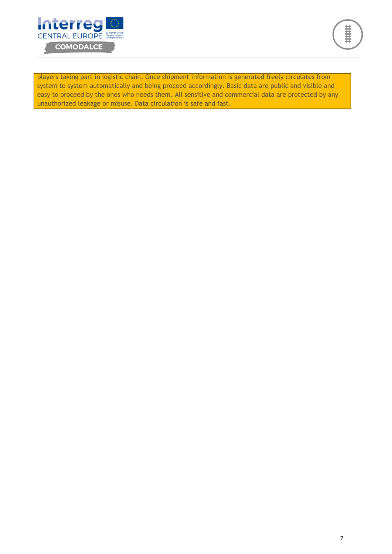

菲菲菲

players taking part in logistic chain. Once shipment information is generated freely circulates from system to system automatically and being proceed accordingly. Basic data are public and visible and easy to proceed by the ones who needs them. All sensitive and commercial data are protected by any unauthorized leakage or misuse. Data circulation is safe and fast.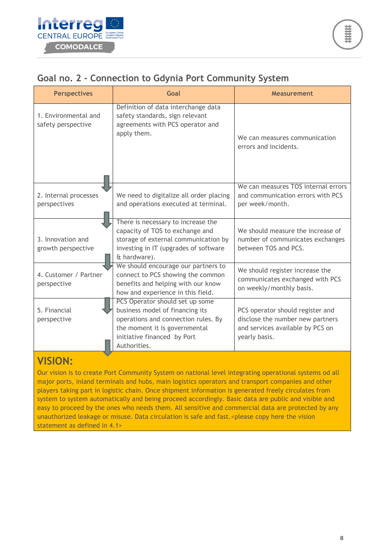#### **Goal no. 2 - Connection to Gdynia Port Community System**

| <b>Perspectives</b>                        | Goal                                                                                                                                                                                      | <b>Measurement</b>                                                                                                        |
|--------------------------------------------|-------------------------------------------------------------------------------------------------------------------------------------------------------------------------------------------|---------------------------------------------------------------------------------------------------------------------------|
| 1. Environmental and<br>safety perspective | Definition of data interchange data<br>safety standards, sign relevant<br>agreements with PCS operator and<br>apply them.                                                                 | We can measures communication<br>errors and incidents.                                                                    |
| 2. Internal processes<br>perspectives      | We need to digitalize all order placing<br>and operations executed at terminal.                                                                                                           | We can measures TOS internal errors<br>and communication errors with PCS<br>per week/month.                               |
| 3. Innovation and<br>growth perspective    | There is necessary to increase the<br>capacity of TOS to exchange and<br>storage of external communication by<br>investing in IT (upgrades of software<br>& hardware).                    | We should measure the increase of<br>number of communicates exchanges<br>between TOS and PCS.                             |
| 4. Customer / Partner<br>perspective       | We should encourage our partners to<br>connect to PCS showing the common<br>benefits and helping with our know<br>how and experience in this field.                                       | We should register increase the<br>communicates exchanged with PCS<br>on weekly/monthly basis.                            |
| 5. Financial<br>perspective                | PCS Operator should set up some<br>business model of financing its<br>operations and connection rules. By<br>the moment it is governmental<br>initiative financed by Port<br>Authorities. | PCS operator should register and<br>disclose the number new partners<br>and services available by PCS on<br>yearly basis. |

### **VISION:**

Our vision is to create Port Community System on national level integrating operational systems od all major ports, inland terminals and hubs, main logistics operators and transport companies and other players taking part in logistic chain. Once shipment information is generated freely circulates from system to system automatically and being proceed accordingly. Basic data are public and visible and easy to proceed by the ones who needs them. All sensitive and commercial data are protected by any unauthorized leakage or misuse. Data circulation is safe and fast.<please copy here the vision statement as defined in 4.1>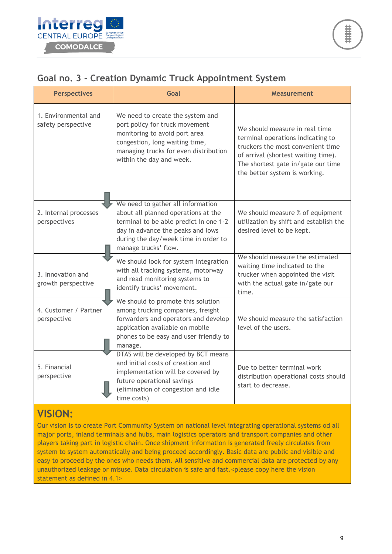|  |  | Goal no. 3 - Creation Dynamic Truck Appointment System |  |
|--|--|--------------------------------------------------------|--|
|  |  |                                                        |  |

| <b>Perspectives</b>                        | <b>Goal</b>                                                                                                                                                                                                             | <b>Measurement</b>                                                                                                                                                                                                     |
|--------------------------------------------|-------------------------------------------------------------------------------------------------------------------------------------------------------------------------------------------------------------------------|------------------------------------------------------------------------------------------------------------------------------------------------------------------------------------------------------------------------|
| 1. Environmental and<br>safety perspective | We need to create the system and<br>port policy for truck movement<br>monitoring to avoid port area<br>congestion, long waiting time,<br>managing trucks for even distribution<br>within the day and week.              | We should measure in real time<br>terminal operations indicating to<br>truckers the most convenient time<br>of arrival (shortest waiting time).<br>The shortest gate in/gate our time<br>the better system is working. |
| 2. Internal processes<br>perspectives      | We need to gather all information<br>about all planned operations at the<br>terminal to be able predict in one 1-2<br>day in advance the peaks and lows<br>during the day/week time in order to<br>manage trucks' flow. | We should measure % of equipment<br>utilization by shift and establish the<br>desired level to be kept.                                                                                                                |
| 3. Innovation and<br>growth perspective    | We should look for system integration<br>with all tracking systems, motorway<br>and read monitoring systems to<br>identify trucks' movement.                                                                            | We should measure the estimated<br>waiting time indicated to the<br>trucker when appointed the visit<br>with the actual gate in/gate our<br>time.                                                                      |
| 4. Customer / Partner<br>perspective       | We should to promote this solution<br>among trucking companies, freight<br>forwarders and operators and develop<br>application available on mobile<br>phones to be easy and user friendly to<br>manage.                 | We should measure the satisfaction<br>level of the users.                                                                                                                                                              |
| 5. Financial<br>perspective                | DTAS will be developed by BCT means<br>and initial costs of creation and<br>implementation will be covered by<br>future operational savings<br>(elimination of congestion and idle<br>time costs)                       | Due to better terminal work<br>distribution operational costs should<br>start to decrease.                                                                                                                             |

## **VISION:**

Our vision is to create Port Community System on national level integrating operational systems od all major ports, inland terminals and hubs, main logistics operators and transport companies and other players taking part in logistic chain. Once shipment information is generated freely circulates from system to system automatically and being proceed accordingly. Basic data are public and visible and easy to proceed by the ones who needs them. All sensitive and commercial data are protected by any unauthorized leakage or misuse. Data circulation is safe and fast.<please copy here the vision statement as defined in 4.1>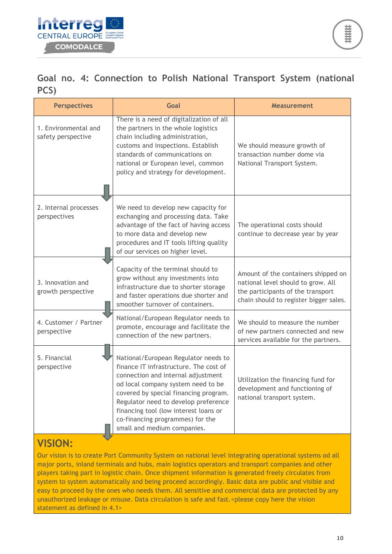

## **Goal no. 4: Connection to Polish National Transport System (national PCS)**

| <b>Perspectives</b>                        | Goal                                                                                                                                                                                                                                                                                                                                                    | <b>Measurement</b>                                                                                                                                       |
|--------------------------------------------|---------------------------------------------------------------------------------------------------------------------------------------------------------------------------------------------------------------------------------------------------------------------------------------------------------------------------------------------------------|----------------------------------------------------------------------------------------------------------------------------------------------------------|
| 1. Environmental and<br>safety perspective | There is a need of digitalization of all<br>the partners in the whole logistics<br>chain including administration,<br>customs and inspections. Establish<br>standards of communications on<br>national or European level, common<br>policy and strategy for development.                                                                                | We should measure growth of<br>transaction number dome via<br>National Transport System.                                                                 |
| 2. Internal processes<br>perspectives      | We need to develop new capacity for<br>exchanging and processing data. Take<br>advantage of the fact of having access<br>to more data and develop new<br>procedures and IT tools lifting quality<br>of our services on higher level.                                                                                                                    | The operational costs should<br>continue to decrease year by year                                                                                        |
| 3. Innovation and<br>growth perspective    | Capacity of the terminal should to<br>grow without any investments into<br>infrastructure due to shorter storage<br>and faster operations due shorter and<br>smoother turnover of containers.                                                                                                                                                           | Amount of the containers shipped on<br>national level should to grow. All<br>the participants of the transport<br>chain should to register bigger sales. |
| 4. Customer / Partner<br>perspective       | National/European Regulator needs to<br>promote, encourage and facilitate the<br>connection of the new partners.                                                                                                                                                                                                                                        | We should to measure the number<br>of new partners connected and new<br>services available for the partners.                                             |
| 5. Financial<br>perspective                | National/European Regulator needs to<br>finance IT infrastructure. The cost of<br>connection and internal adjustment<br>od local company system need to be<br>covered by special financing program.<br>Regulator need to develop preference<br>financing tool (low interest loans or<br>co-financing programmes) for the<br>small and medium companies. | Utilization the financing fund for<br>development and functioning of<br>national transport system.                                                       |

## **VISION:**

Our vision is to create Port Community System on national level integrating operational systems od all major ports, inland terminals and hubs, main logistics operators and transport companies and other players taking part in logistic chain. Once shipment information is generated freely circulates from system to system automatically and being proceed accordingly. Basic data are public and visible and easy to proceed by the ones who needs them. All sensitive and commercial data are protected by any unauthorized leakage or misuse. Data circulation is safe and fast.<please copy here the vision statement as defined in 4.1>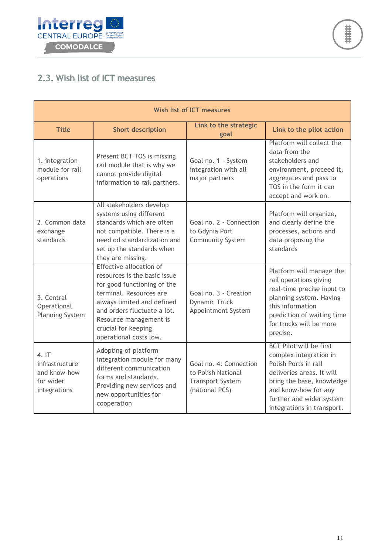



### <span id="page-10-0"></span>**2.3. Wish list of ICT measures**

| Wish list of ICT measures                                           |                                                                                                                                                                                                                                                           |                                                                                           |                                                                                                                                                                                                                              |  |  |  |
|---------------------------------------------------------------------|-----------------------------------------------------------------------------------------------------------------------------------------------------------------------------------------------------------------------------------------------------------|-------------------------------------------------------------------------------------------|------------------------------------------------------------------------------------------------------------------------------------------------------------------------------------------------------------------------------|--|--|--|
| <b>Title</b>                                                        | <b>Short description</b>                                                                                                                                                                                                                                  | Link to the strategic<br>goal                                                             | Link to the pilot action                                                                                                                                                                                                     |  |  |  |
| 1. integration<br>module for rail<br>operations                     | Present BCT TOS is missing<br>rail module that is why we<br>cannot provide digital<br>information to rail partners.                                                                                                                                       | Goal no. 1 - System<br>integration with all<br>major partners                             | Platform will collect the<br>data from the<br>stakeholders and<br>environment, proceed it,<br>aggregates and pass to<br>TOS in the form it can<br>accept and work on.                                                        |  |  |  |
| 2. Common data<br>exchange<br>standards                             | All stakeholders develop<br>systems using different<br>standards which are often<br>not compatible. There is a<br>need od standardization and<br>set up the standards when<br>they are missing.                                                           | Goal no. 2 - Connection<br>to Gdynia Port<br><b>Community System</b>                      | Platform will organize,<br>and clearly define the<br>processes, actions and<br>data proposing the<br>standards                                                                                                               |  |  |  |
| 3. Central<br>Operational<br><b>Planning System</b>                 | Effective allocation of<br>resources is the basic issue<br>for good functioning of the<br>terminal. Resources are<br>always limited and defined<br>and orders fluctuate a lot.<br>Resource management is<br>crucial for keeping<br>operational costs low. | Goal no. 3 - Creation<br><b>Dynamic Truck</b><br>Appointment System                       | Platform will manage the<br>rail operations giving<br>real-time precise input to<br>planning system. Having<br>this information<br>prediction of waiting time<br>for trucks will be more<br>precise.                         |  |  |  |
| 4.1T<br>infrastructure<br>and know-how<br>for wider<br>integrations | Adopting of platform<br>integration module for many<br>different communication<br>forms and standards.<br>Providing new services and<br>new opportunities for<br>cooperation                                                                              | Goal no. 4: Connection<br>to Polish National<br><b>Transport System</b><br>(national PCS) | <b>BCT Pilot will be first</b><br>complex integration in<br>Polish Ports in rail<br>deliveries areas. It will<br>bring the base, knowledge<br>and know-how for any<br>further and wider system<br>integrations in transport. |  |  |  |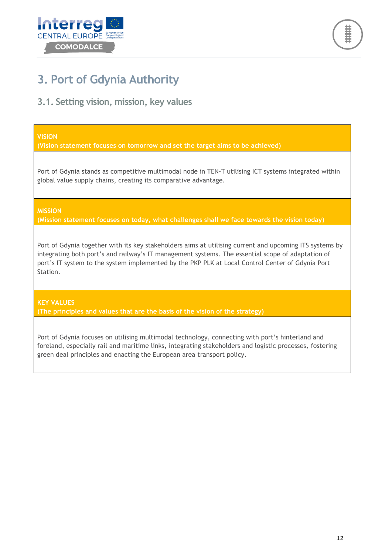



## <span id="page-11-0"></span>**3. Port of Gdynia Authority**

<span id="page-11-1"></span>**3.1. Setting vision, mission, key values**

#### **VISION**

**(Vision statement focuses on tomorrow and set the target aims to be achieved)**

Port of Gdynia stands as competitive multimodal node in TEN-T utilising ICT systems integrated within global value supply chains, creating its comparative advantage.

**MISSION**

**(Mission statement focuses on today, what challenges shall we face towards the vision today)**

Port of Gdynia together with its key stakeholders aims at utilising current and upcoming ITS systems by integrating both port's and railway's IT management systems. The essential scope of adaptation of port's IT system to the system implemented by the PKP PLK at Local Control Center of Gdynia Port Station.

**KEY VALUES (The principles and values that are the basis of the vision of the strategy)**

Port of Gdynia focuses on utilising multimodal technology, connecting with port's hinterland and foreland, especially rail and maritime links, integrating stakeholders and logistic processes, fostering green deal principles and enacting the European area transport policy.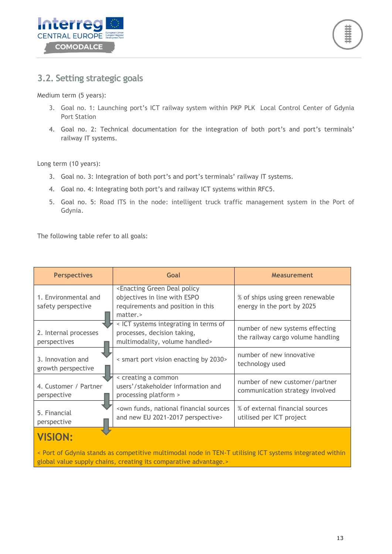



#### <span id="page-12-0"></span>**3.2. Setting strategic goals**

Medium term (5 years):

- 3. Goal no. 1: Launching port's ICT railway system within PKP PLK Local Control Center of Gdynia Port Station
- 4. Goal no. 2: Technical documentation for the integration of both port's and port's terminals' railway IT systems.

Long term (10 years):

- 3. Goal no. 3: Integration of both port's and port's terminals' railway IT systems.
- 4. Goal no. 4: Integrating both port's and railway ICT systems within RFC5.
- 5. Goal no. 5: Road ITS in the node: intelligent truck traffic management system in the Port of Gdynia.

The following table refer to all goals:

| <b>Perspectives</b>                                                                                                                                                         | Goal                                                                                                                                  | <b>Measurement</b>                                                   |  |  |  |
|-----------------------------------------------------------------------------------------------------------------------------------------------------------------------------|---------------------------------------------------------------------------------------------------------------------------------------|----------------------------------------------------------------------|--|--|--|
| 1. Environmental and<br>safety perspective                                                                                                                                  | <enacting deal="" green="" policy<br="">objectives in line with ESPO<br/>requirements and position in this<br/>matter.&gt;</enacting> | % of ships using green renewable<br>energy in the port by 2025       |  |  |  |
| 2. Internal processes<br>perspectives                                                                                                                                       | < ICT systems integrating in terms of<br>processes, decision taking,<br>multimodality, volume handled>                                | number of new systems effecting<br>the railway cargo volume handling |  |  |  |
| 3. Innovation and<br>growth perspective                                                                                                                                     | < smart port vision enacting by 2030>                                                                                                 | number of new innovative<br>technology used                          |  |  |  |
| 4. Customer / Partner<br>perspective                                                                                                                                        | < creating a common<br>users'/stakeholder information and<br>processing platform >                                                    | number of new customer/partner<br>communication strategy involved    |  |  |  |
| 5. Financial<br>perspective                                                                                                                                                 | <own financial="" funds,="" national="" sources<br="">and new EU 2021-2017 perspective&gt;</own>                                      | % of external financial sources<br>utilised per ICT project          |  |  |  |
| <b>VISION:</b>                                                                                                                                                              |                                                                                                                                       |                                                                      |  |  |  |
| < Port of Gdynia stands as competitive multimodal node in TEN-T utilising ICT systems integrated within<br>global value supply chains, creating its comparative advantage.> |                                                                                                                                       |                                                                      |  |  |  |